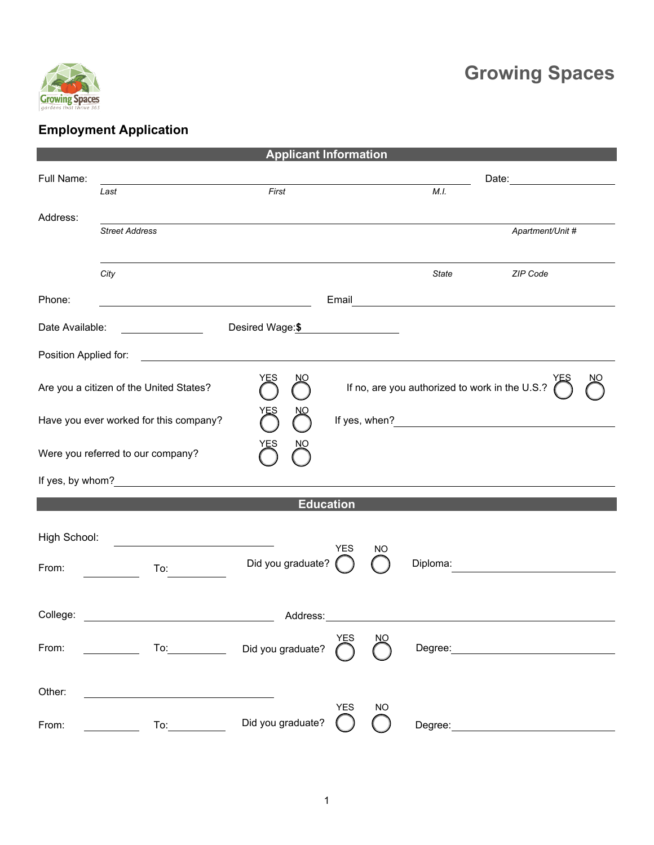

## **Growing Spaces**

## **Employment Application**

| <b>Applicant Information</b>                         |                                                                                                                       |                                             |                                                |           |          |                  |  |  |  |
|------------------------------------------------------|-----------------------------------------------------------------------------------------------------------------------|---------------------------------------------|------------------------------------------------|-----------|----------|------------------|--|--|--|
| Full Name:                                           | First<br>Last                                                                                                         |                                             |                                                |           | M.I.     |                  |  |  |  |
| Address:                                             |                                                                                                                       |                                             |                                                |           |          |                  |  |  |  |
|                                                      | <b>Street Address</b>                                                                                                 |                                             |                                                |           |          | Apartment/Unit # |  |  |  |
|                                                      | City                                                                                                                  |                                             |                                                |           | State    | ZIP Code         |  |  |  |
| Phone:                                               | <u> 1989 - Johann Barn, mars eta bainar eta bat erroman erroman erroman erroman erroman erroman erroman erroman e</u> |                                             |                                                |           |          |                  |  |  |  |
| Date Available:                                      |                                                                                                                       | Desired Wage:\$                             |                                                |           |          |                  |  |  |  |
| Position Applied for:                                |                                                                                                                       | <u> 1989 - Jan Samuel Barbara, martin d</u> |                                                |           |          |                  |  |  |  |
| YES<br>ŊО<br>Are you a citizen of the United States? |                                                                                                                       |                                             | If no, are you authorized to work in the U.S.? |           |          |                  |  |  |  |
| Have you ever worked for this company?               |                                                                                                                       |                                             |                                                |           |          |                  |  |  |  |
| NO<br>Υ⊑১<br>Were you referred to our company?       |                                                                                                                       |                                             |                                                |           |          |                  |  |  |  |
|                                                      | If yes, by whom?                                                                                                      |                                             |                                                |           |          |                  |  |  |  |
| <b>Education</b>                                     |                                                                                                                       |                                             |                                                |           |          |                  |  |  |  |
| High School:                                         | <u> 1980 - Andrea Station Barbara, amerikan per</u>                                                                   |                                             | <b>YES</b>                                     | NO        |          |                  |  |  |  |
| From:                                                | To:                                                                                                                   | Did you graduate?                           |                                                |           | Diploma: |                  |  |  |  |
| College:                                             |                                                                                                                       |                                             |                                                |           |          |                  |  |  |  |
| From:                                                |                                                                                                                       | To: Did you graduate?                       | YES                                            | NO        | Degree:  |                  |  |  |  |
| Other:                                               |                                                                                                                       |                                             |                                                |           |          |                  |  |  |  |
| From:                                                | To:                                                                                                                   | Did you graduate?                           | <b>YES</b>                                     | <b>NO</b> | Degree:  |                  |  |  |  |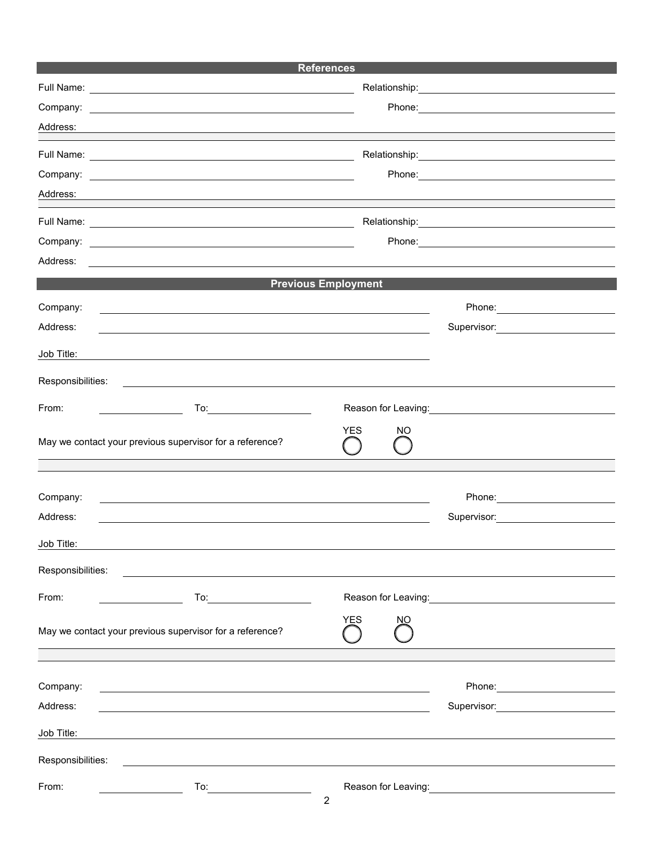| <b>References</b> |                                                                                                                       |                                                                                                                                                                                                                                       |    |                                                               |  |  |  |  |  |  |
|-------------------|-----------------------------------------------------------------------------------------------------------------------|---------------------------------------------------------------------------------------------------------------------------------------------------------------------------------------------------------------------------------------|----|---------------------------------------------------------------|--|--|--|--|--|--|
|                   |                                                                                                                       |                                                                                                                                                                                                                                       |    |                                                               |  |  |  |  |  |  |
|                   |                                                                                                                       |                                                                                                                                                                                                                                       |    |                                                               |  |  |  |  |  |  |
| Address:          | and the control of the control of the control of the control of the control of the control of the control of the      |                                                                                                                                                                                                                                       |    |                                                               |  |  |  |  |  |  |
|                   |                                                                                                                       |                                                                                                                                                                                                                                       |    |                                                               |  |  |  |  |  |  |
| Company:          | <u> 1989 - Johann Stein, Amerikaansk politiker (* 1958)</u>                                                           |                                                                                                                                                                                                                                       |    |                                                               |  |  |  |  |  |  |
| Address:          |                                                                                                                       |                                                                                                                                                                                                                                       |    |                                                               |  |  |  |  |  |  |
|                   |                                                                                                                       |                                                                                                                                                                                                                                       |    |                                                               |  |  |  |  |  |  |
|                   |                                                                                                                       |                                                                                                                                                                                                                                       |    |                                                               |  |  |  |  |  |  |
|                   |                                                                                                                       |                                                                                                                                                                                                                                       |    |                                                               |  |  |  |  |  |  |
| Address:          | <u>a sa barang ang pagbabang nagarang pang</u> alang na manang pangangang nagarang pangangang na                      |                                                                                                                                                                                                                                       |    |                                                               |  |  |  |  |  |  |
|                   |                                                                                                                       | <b>Previous Employment</b>                                                                                                                                                                                                            |    |                                                               |  |  |  |  |  |  |
| Company:          | <u> 1989 - Johann Stoff, amerikansk politiker (d. 1989)</u>                                                           |                                                                                                                                                                                                                                       |    |                                                               |  |  |  |  |  |  |
| Address:          | <u> 1990 - Johann Barn, fransk politik (f. 1980)</u>                                                                  |                                                                                                                                                                                                                                       |    |                                                               |  |  |  |  |  |  |
| Job Title:        | <u>a sa barang ang pagbabang nagarang pangangang nagarang pangangang nagarang pang</u>                                |                                                                                                                                                                                                                                       |    |                                                               |  |  |  |  |  |  |
| Responsibilities: | <u> 1989 - John Stein, mars and de Britannie en de Britannie en de Britannie en de Britannie en de Britannie en d</u> |                                                                                                                                                                                                                                       |    |                                                               |  |  |  |  |  |  |
| From:             |                                                                                                                       |                                                                                                                                                                                                                                       |    | Reason for Leaving:                                           |  |  |  |  |  |  |
|                   | May we contact your previous supervisor for a reference?                                                              | <b>YES</b>                                                                                                                                                                                                                            | NO |                                                               |  |  |  |  |  |  |
|                   |                                                                                                                       |                                                                                                                                                                                                                                       |    |                                                               |  |  |  |  |  |  |
| Company:          |                                                                                                                       |                                                                                                                                                                                                                                       |    |                                                               |  |  |  |  |  |  |
| Address:          |                                                                                                                       |                                                                                                                                                                                                                                       |    |                                                               |  |  |  |  |  |  |
| Job Title:        |                                                                                                                       |                                                                                                                                                                                                                                       |    |                                                               |  |  |  |  |  |  |
| Responsibilities: |                                                                                                                       |                                                                                                                                                                                                                                       |    |                                                               |  |  |  |  |  |  |
| From:             | To:__________________________                                                                                         |                                                                                                                                                                                                                                       |    | Reason for Leaving: Management Control of Reason for Leaving: |  |  |  |  |  |  |
|                   | May we contact your previous supervisor for a reference?                                                              | <b>YES</b>                                                                                                                                                                                                                            | ΝO |                                                               |  |  |  |  |  |  |
|                   |                                                                                                                       |                                                                                                                                                                                                                                       |    |                                                               |  |  |  |  |  |  |
| Company:          |                                                                                                                       |                                                                                                                                                                                                                                       |    |                                                               |  |  |  |  |  |  |
| Address:          |                                                                                                                       |                                                                                                                                                                                                                                       |    |                                                               |  |  |  |  |  |  |
| Job Title:        |                                                                                                                       |                                                                                                                                                                                                                                       |    |                                                               |  |  |  |  |  |  |
|                   |                                                                                                                       |                                                                                                                                                                                                                                       |    |                                                               |  |  |  |  |  |  |
| Responsibilities: |                                                                                                                       |                                                                                                                                                                                                                                       |    |                                                               |  |  |  |  |  |  |
| From:             | To: $\sqrt{ }$                                                                                                        | Reason for Leaving:<br><u>Internal and</u> the same of the same of the same of the same of the same of the same of the same of the same of the same of the same of the same of the same of the same of the same of the same of the sa |    |                                                               |  |  |  |  |  |  |